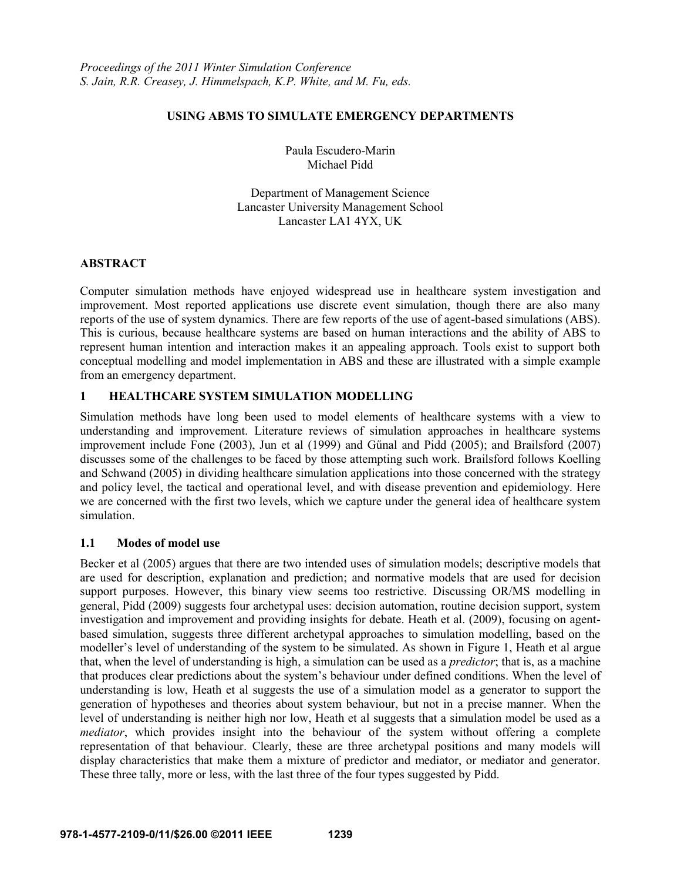### **USING ABMS TO SIMULATE EMERGENCY DEPARTMENTS**

Paula Escudero-Marin Michael Pidd

Department of Management Science Lancaster University Management School Lancaster LA1 4YX, UK

## **ABSTRACT**

Computer simulation methods have enjoyed widespread use in healthcare system investigation and improvement. Most reported applications use discrete event simulation, though there are also many reports of the use of system dynamics. There are few reports of the use of agent-based simulations (ABS). This is curious, because healthcare systems are based on human interactions and the ability of ABS to represent human intention and interaction makes it an appealing approach. Tools exist to support both conceptual modelling and model implementation in ABS and these are illustrated with a simple example from an emergency department.

## **1 HEALTHCARE SYSTEM SIMULATION MODELLING**

Simulation methods have long been used to model elements of healthcare systems with a view to understanding and improvement. Literature reviews of simulation approaches in healthcare systems improvement include Fone (2003), Jun et al (1999) and Gűnal and Pidd (2005); and Brailsford (2007) discusses some of the challenges to be faced by those attempting such work. Brailsford follows Koelling and Schwand (2005) in dividing healthcare simulation applications into those concerned with the strategy and policy level, the tactical and operational level, and with disease prevention and epidemiology. Here we are concerned with the first two levels, which we capture under the general idea of healthcare system simulation.

#### **1.1 Modes of model use**

Becker et al (2005) argues that there are two intended uses of simulation models; descriptive models that are used for description, explanation and prediction; and normative models that are used for decision support purposes. However, this binary view seems too restrictive. Discussing OR/MS modelling in general, Pidd (2009) suggests four archetypal uses: decision automation, routine decision support, system investigation and improvement and providing insights for debate. Heath et al. (2009), focusing on agentbased simulation, suggests three different archetypal approaches to simulation modelling, based on the modeller's level of understanding of the system to be simulated. As shown in Figure 1, Heath et al argue that, when the level of understanding is high, a simulation can be used as a *predictor*; that is, as a machine that produces clear predictions about the system's behaviour under defined conditions. When the level of understanding is low, Heath et al suggests the use of a simulation model as a generator to support the generation of hypotheses and theories about system behaviour, but not in a precise manner. When the level of understanding is neither high nor low, Heath et al suggests that a simulation model be used as a *mediator*, which provides insight into the behaviour of the system without offering a complete representation of that behaviour. Clearly, these are three archetypal positions and many models will display characteristics that make them a mixture of predictor and mediator, or mediator and generator. These three tally, more or less, with the last three of the four types suggested by Pidd.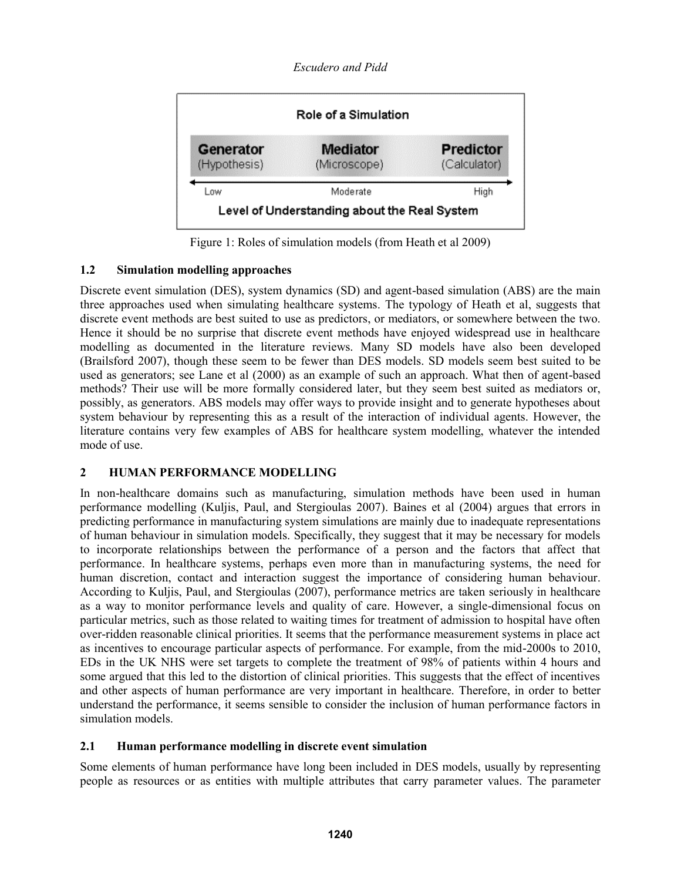*Escudero and Pidd*



Figure 1: Roles of simulation models (from Heath et al 2009)

# **1.2 Simulation modelling approaches**

Discrete event simulation (DES), system dynamics (SD) and agent-based simulation (ABS) are the main three approaches used when simulating healthcare systems. The typology of Heath et al, suggests that discrete event methods are best suited to use as predictors, or mediators, or somewhere between the two. Hence it should be no surprise that discrete event methods have enjoyed widespread use in healthcare modelling as documented in the literature reviews. Many SD models have also been developed (Brailsford 2007), though these seem to be fewer than DES models. SD models seem best suited to be used as generators; see Lane et al (2000) as an example of such an approach. What then of agent-based methods? Their use will be more formally considered later, but they seem best suited as mediators or, possibly, as generators. ABS models may offer ways to provide insight and to generate hypotheses about system behaviour by representing this as a result of the interaction of individual agents. However, the literature contains very few examples of ABS for healthcare system modelling, whatever the intended mode of use.

# **2 HUMAN PERFORMANCE MODELLING**

In non-healthcare domains such as manufacturing, simulation methods have been used in human performance modelling (Kuljis, Paul, and Stergioulas 2007). Baines et al (2004) argues that errors in predicting performance in manufacturing system simulations are mainly due to inadequate representations of human behaviour in simulation models. Specifically, they suggest that it may be necessary for models to incorporate relationships between the performance of a person and the factors that affect that performance. In healthcare systems, perhaps even more than in manufacturing systems, the need for human discretion, contact and interaction suggest the importance of considering human behaviour. According to Kuljis, Paul, and Stergioulas (2007), performance metrics are taken seriously in healthcare as a way to monitor performance levels and quality of care. However, a single-dimensional focus on particular metrics, such as those related to waiting times for treatment of admission to hospital have often over-ridden reasonable clinical priorities. It seems that the performance measurement systems in place act as incentives to encourage particular aspects of performance. For example, from the mid-2000s to 2010, EDs in the UK NHS were set targets to complete the treatment of 98% of patients within 4 hours and some argued that this led to the distortion of clinical priorities. This suggests that the effect of incentives and other aspects of human performance are very important in healthcare. Therefore, in order to better understand the performance, it seems sensible to consider the inclusion of human performance factors in simulation models.

# **2.1 Human performance modelling in discrete event simulation**

Some elements of human performance have long been included in DES models, usually by representing people as resources or as entities with multiple attributes that carry parameter values. The parameter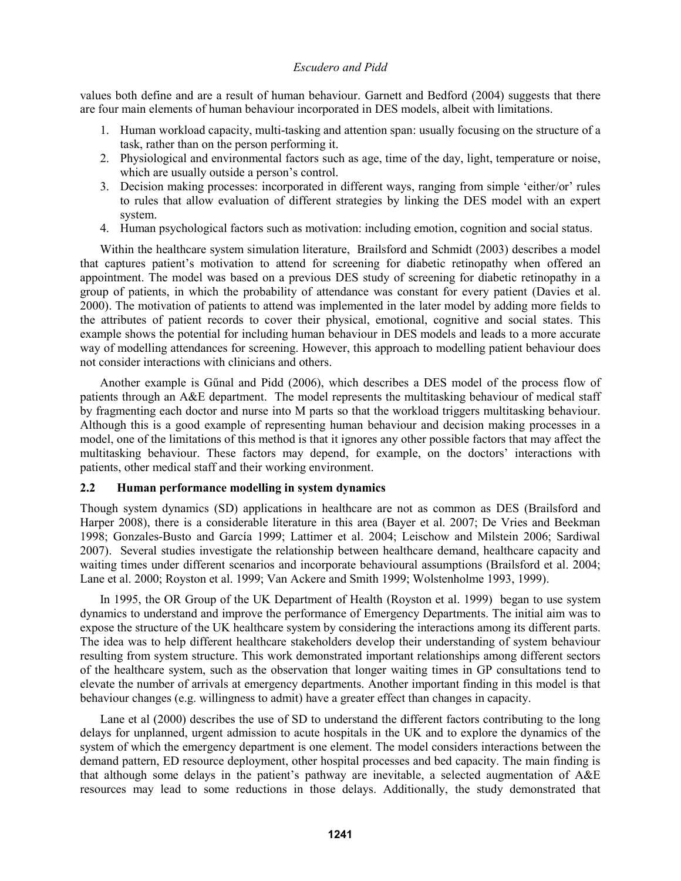values both define and are a result of human behaviour. Garnett and Bedford (2004) suggests that there are four main elements of human behaviour incorporated in DES models, albeit with limitations.

- 1. Human workload capacity, multi-tasking and attention span: usually focusing on the structure of a task, rather than on the person performing it.
- 2. Physiological and environmental factors such as age, time of the day, light, temperature or noise, which are usually outside a person's control.
- 3. Decision making processes: incorporated in different ways, ranging from simple 'either/or' rules to rules that allow evaluation of different strategies by linking the DES model with an expert system.
- 4. Human psychological factors such as motivation: including emotion, cognition and social status.

Within the healthcare system simulation literature, Brailsford and Schmidt (2003) describes a model that captures patient's motivation to attend for screening for diabetic retinopathy when offered an appointment. The model was based on a previous DES study of screening for diabetic retinopathy in a group of patients, in which the probability of attendance was constant for every patient (Davies et al. 2000). The motivation of patients to attend was implemented in the later model by adding more fields to the attributes of patient records to cover their physical, emotional, cognitive and social states. This example shows the potential for including human behaviour in DES models and leads to a more accurate way of modelling attendances for screening. However, this approach to modelling patient behaviour does not consider interactions with clinicians and others.

Another example is Gűnal and Pidd (2006), which describes a DES model of the process flow of patients through an A&E department. The model represents the multitasking behaviour of medical staff by fragmenting each doctor and nurse into M parts so that the workload triggers multitasking behaviour. Although this is a good example of representing human behaviour and decision making processes in a model, one of the limitations of this method is that it ignores any other possible factors that may affect the multitasking behaviour. These factors may depend, for example, on the doctors' interactions with patients, other medical staff and their working environment.

## **2.2 Human performance modelling in system dynamics**

Though system dynamics (SD) applications in healthcare are not as common as DES (Brailsford and Harper 2008), there is a considerable literature in this area (Bayer et al. 2007; De Vries and Beekman 1998; Gonzales-Busto and García 1999; Lattimer et al. 2004; Leischow and Milstein 2006; Sardiwal 2007). Several studies investigate the relationship between healthcare demand, healthcare capacity and waiting times under different scenarios and incorporate behavioural assumptions (Brailsford et al. 2004; Lane et al. 2000; Royston et al. 1999; Van Ackere and Smith 1999; Wolstenholme 1993, 1999).

In 1995, the OR Group of the UK Department of Health (Royston et al. 1999) began to use system dynamics to understand and improve the performance of Emergency Departments. The initial aim was to expose the structure of the UK healthcare system by considering the interactions among its different parts. The idea was to help different healthcare stakeholders develop their understanding of system behaviour resulting from system structure. This work demonstrated important relationships among different sectors of the healthcare system, such as the observation that longer waiting times in GP consultations tend to elevate the number of arrivals at emergency departments. Another important finding in this model is that behaviour changes (e.g. willingness to admit) have a greater effect than changes in capacity.

Lane et al (2000) describes the use of SD to understand the different factors contributing to the long delays for unplanned, urgent admission to acute hospitals in the UK and to explore the dynamics of the system of which the emergency department is one element. The model considers interactions between the demand pattern, ED resource deployment, other hospital processes and bed capacity. The main finding is that although some delays in the patient's pathway are inevitable, a selected augmentation of A&E resources may lead to some reductions in those delays. Additionally, the study demonstrated that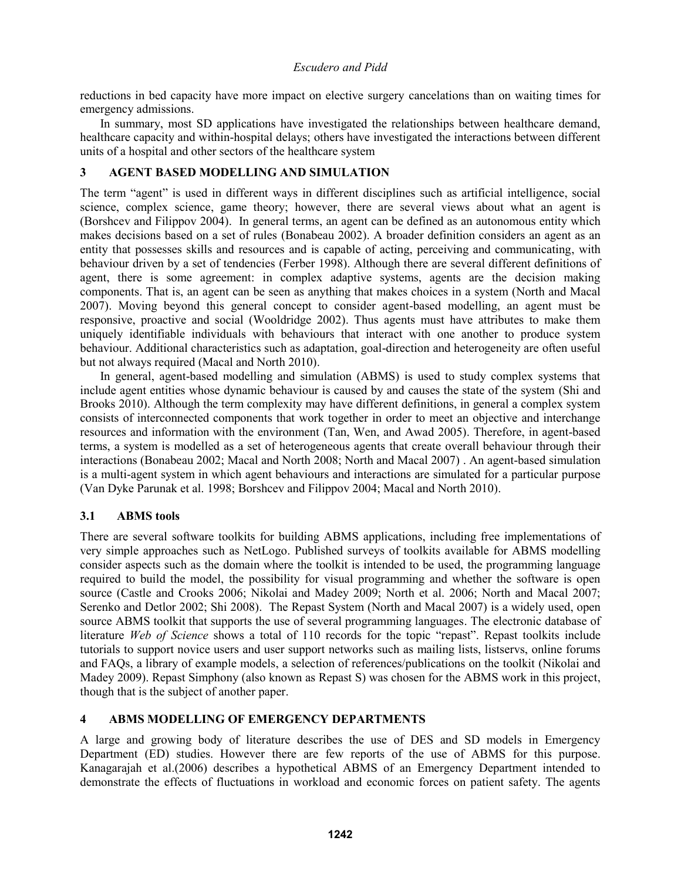reductions in bed capacity have more impact on elective surgery cancelations than on waiting times for emergency admissions.

In summary, most SD applications have investigated the relationships between healthcare demand, healthcare capacity and within-hospital delays; others have investigated the interactions between different units of a hospital and other sectors of the healthcare system

## **3 AGENT BASED MODELLING AND SIMULATION**

The term "agent" is used in different ways in different disciplines such as artificial intelligence, social science, complex science, game theory; however, there are several views about what an agent is (Borshcev and Filippov 2004). In general terms, an agent can be defined as an autonomous entity which makes decisions based on a set of rules (Bonabeau 2002). A broader definition considers an agent as an entity that possesses skills and resources and is capable of acting, perceiving and communicating, with behaviour driven by a set of tendencies (Ferber 1998). Although there are several different definitions of agent, there is some agreement: in complex adaptive systems, agents are the decision making components. That is, an agent can be seen as anything that makes choices in a system (North and Macal 2007). Moving beyond this general concept to consider agent-based modelling, an agent must be responsive, proactive and social (Wooldridge 2002). Thus agents must have attributes to make them uniquely identifiable individuals with behaviours that interact with one another to produce system behaviour. Additional characteristics such as adaptation, goal-direction and heterogeneity are often useful but not always required (Macal and North 2010).

In general, agent-based modelling and simulation (ABMS) is used to study complex systems that include agent entities whose dynamic behaviour is caused by and causes the state of the system (Shi and Brooks 2010). Although the term complexity may have different definitions, in general a complex system consists of interconnected components that work together in order to meet an objective and interchange resources and information with the environment (Tan, Wen, and Awad 2005). Therefore, in agent-based terms, a system is modelled as a set of heterogeneous agents that create overall behaviour through their interactions (Bonabeau 2002; Macal and North 2008; North and Macal 2007) . An agent-based simulation is a multi-agent system in which agent behaviours and interactions are simulated for a particular purpose (Van Dyke Parunak et al. 1998; Borshcev and Filippov 2004; Macal and North 2010).

# **3.1 ABMS tools**

There are several software toolkits for building ABMS applications, including free implementations of very simple approaches such as NetLogo. Published surveys of toolkits available for ABMS modelling consider aspects such as the domain where the toolkit is intended to be used, the programming language required to build the model, the possibility for visual programming and whether the software is open source (Castle and Crooks 2006; Nikolai and Madey 2009; North et al. 2006; North and Macal 2007; Serenko and Detlor 2002; Shi 2008). The Repast System (North and Macal 2007) is a widely used, open source ABMS toolkit that supports the use of several programming languages. The electronic database of literature *Web of Science* shows a total of 110 records for the topic "repast". Repast toolkits include tutorials to support novice users and user support networks such as mailing lists, listservs, online forums and FAQs, a library of example models, a selection of references/publications on the toolkit (Nikolai and Madey 2009). Repast Simphony (also known as Repast S) was chosen for the ABMS work in this project, though that is the subject of another paper.

## **4 ABMS MODELLING OF EMERGENCY DEPARTMENTS**

A large and growing body of literature describes the use of DES and SD models in Emergency Department (ED) studies. However there are few reports of the use of ABMS for this purpose. Kanagarajah et al.(2006) describes a hypothetical ABMS of an Emergency Department intended to demonstrate the effects of fluctuations in workload and economic forces on patient safety. The agents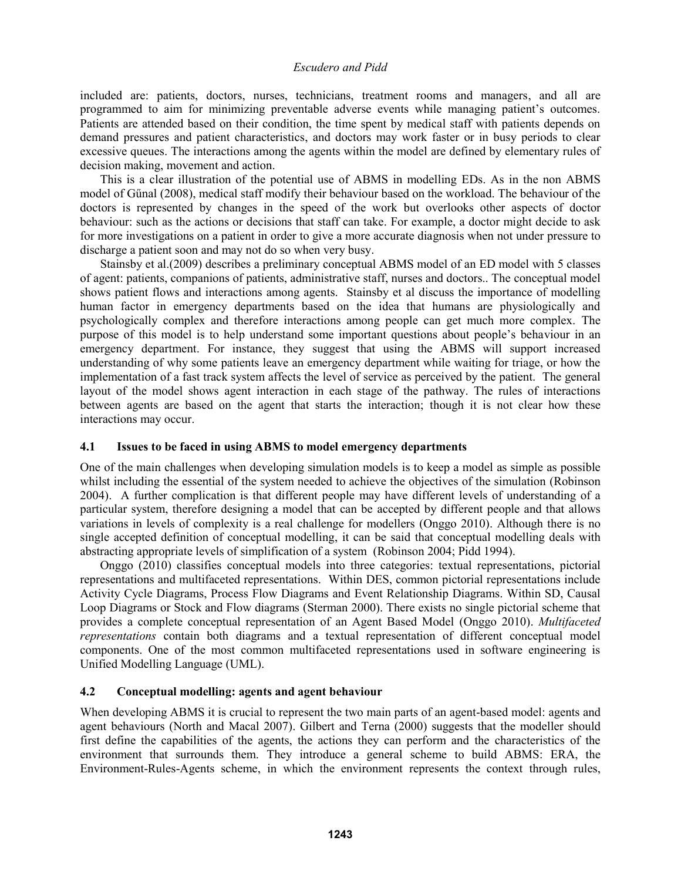included are: patients, doctors, nurses, technicians, treatment rooms and managers, and all are programmed to aim for minimizing preventable adverse events while managing patient's outcomes. Patients are attended based on their condition, the time spent by medical staff with patients depends on demand pressures and patient characteristics, and doctors may work faster or in busy periods to clear excessive queues. The interactions among the agents within the model are defined by elementary rules of decision making, movement and action.

This is a clear illustration of the potential use of ABMS in modelling EDs. As in the non ABMS model of Gűnal (2008), medical staff modify their behaviour based on the workload. The behaviour of the doctors is represented by changes in the speed of the work but overlooks other aspects of doctor behaviour: such as the actions or decisions that staff can take. For example, a doctor might decide to ask for more investigations on a patient in order to give a more accurate diagnosis when not under pressure to discharge a patient soon and may not do so when very busy.

Stainsby et al.(2009) describes a preliminary conceptual ABMS model of an ED model with 5 classes of agent: patients, companions of patients, administrative staff, nurses and doctors.. The conceptual model shows patient flows and interactions among agents. Stainsby et al discuss the importance of modelling human factor in emergency departments based on the idea that humans are physiologically and psychologically complex and therefore interactions among people can get much more complex. The purpose of this model is to help understand some important questions about people's behaviour in an emergency department. For instance, they suggest that using the ABMS will support increased understanding of why some patients leave an emergency department while waiting for triage, or how the implementation of a fast track system affects the level of service as perceived by the patient. The general layout of the model shows agent interaction in each stage of the pathway. The rules of interactions between agents are based on the agent that starts the interaction; though it is not clear how these interactions may occur.

## **4.1 Issues to be faced in using ABMS to model emergency departments**

One of the main challenges when developing simulation models is to keep a model as simple as possible whilst including the essential of the system needed to achieve the objectives of the simulation (Robinson 2004). A further complication is that different people may have different levels of understanding of a particular system, therefore designing a model that can be accepted by different people and that allows variations in levels of complexity is a real challenge for modellers (Onggo 2010). Although there is no single accepted definition of conceptual modelling, it can be said that conceptual modelling deals with abstracting appropriate levels of simplification of a system (Robinson 2004; Pidd 1994).

Onggo (2010) classifies conceptual models into three categories: textual representations, pictorial representations and multifaceted representations. Within DES, common pictorial representations include Activity Cycle Diagrams, Process Flow Diagrams and Event Relationship Diagrams. Within SD, Causal Loop Diagrams or Stock and Flow diagrams (Sterman 2000). There exists no single pictorial scheme that provides a complete conceptual representation of an Agent Based Model (Onggo 2010). *Multifaceted representations* contain both diagrams and a textual representation of different conceptual model components. One of the most common multifaceted representations used in software engineering is Unified Modelling Language (UML).

## **4.2 Conceptual modelling: agents and agent behaviour**

When developing ABMS it is crucial to represent the two main parts of an agent-based model: agents and agent behaviours (North and Macal 2007). Gilbert and Terna (2000) suggests that the modeller should first define the capabilities of the agents, the actions they can perform and the characteristics of the environment that surrounds them. They introduce a general scheme to build ABMS: ERA, the Environment-Rules-Agents scheme, in which the environment represents the context through rules,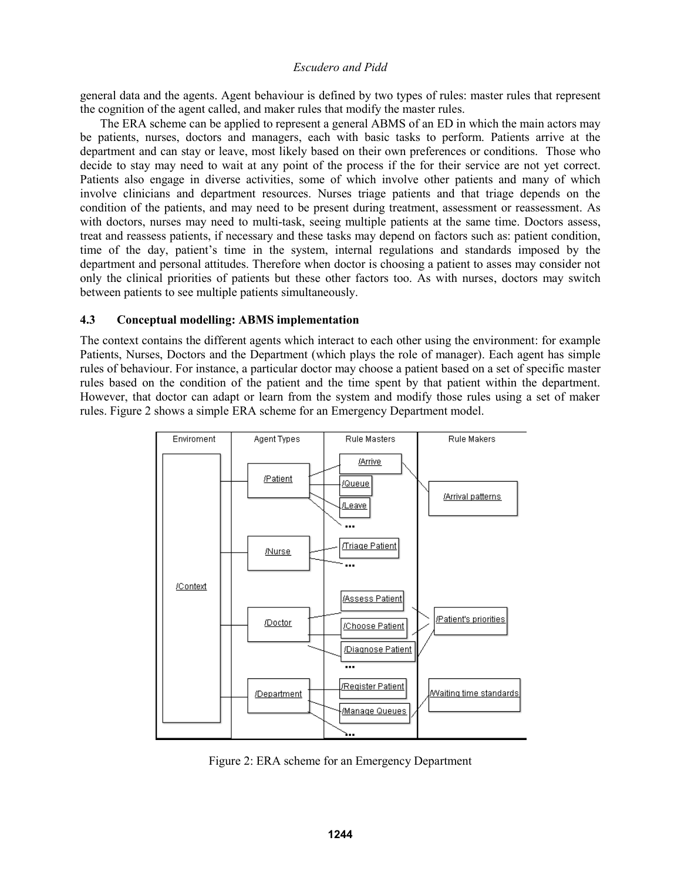general data and the agents. Agent behaviour is defined by two types of rules: master rules that represent the cognition of the agent called, and maker rules that modify the master rules.

The ERA scheme can be applied to represent a general ABMS of an ED in which the main actors may be patients, nurses, doctors and managers, each with basic tasks to perform. Patients arrive at the department and can stay or leave, most likely based on their own preferences or conditions. Those who decide to stay may need to wait at any point of the process if the for their service are not yet correct. Patients also engage in diverse activities, some of which involve other patients and many of which involve clinicians and department resources. Nurses triage patients and that triage depends on the condition of the patients, and may need to be present during treatment, assessment or reassessment. As with doctors, nurses may need to multi-task, seeing multiple patients at the same time. Doctors assess, treat and reassess patients, if necessary and these tasks may depend on factors such as: patient condition, time of the day, patient's time in the system, internal regulations and standards imposed by the department and personal attitudes. Therefore when doctor is choosing a patient to asses may consider not only the clinical priorities of patients but these other factors too. As with nurses, doctors may switch between patients to see multiple patients simultaneously.

#### **4.3 Conceptual modelling: ABMS implementation**

The context contains the different agents which interact to each other using the environment: for example Patients, Nurses, Doctors and the Department (which plays the role of manager). Each agent has simple rules of behaviour. For instance, a particular doctor may choose a patient based on a set of specific master rules based on the condition of the patient and the time spent by that patient within the department. However, that doctor can adapt or learn from the system and modify those rules using a set of maker rules. Figure 2 shows a simple ERA scheme for an Emergency Department model.



Figure 2: ERA scheme for an Emergency Department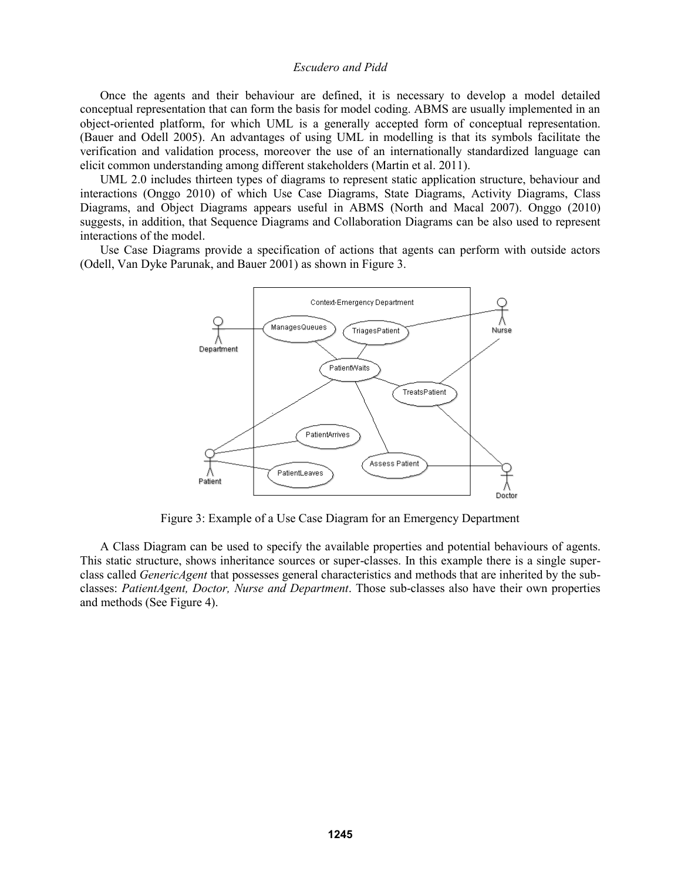Once the agents and their behaviour are defined, it is necessary to develop a model detailed conceptual representation that can form the basis for model coding. ABMS are usually implemented in an object-oriented platform, for which UML is a generally accepted form of conceptual representation. (Bauer and Odell 2005). An advantages of using UML in modelling is that its symbols facilitate the verification and validation process, moreover the use of an internationally standardized language can elicit common understanding among different stakeholders (Martin et al. 2011).

UML 2.0 includes thirteen types of diagrams to represent static application structure, behaviour and interactions (Onggo 2010) of which Use Case Diagrams, State Diagrams, Activity Diagrams, Class Diagrams, and Object Diagrams appears useful in ABMS (North and Macal 2007). Onggo (2010) suggests, in addition, that Sequence Diagrams and Collaboration Diagrams can be also used to represent interactions of the model.

Use Case Diagrams provide a specification of actions that agents can perform with outside actors (Odell, Van Dyke Parunak, and Bauer 2001) as shown in Figure 3.



Figure 3: Example of a Use Case Diagram for an Emergency Department

A Class Diagram can be used to specify the available properties and potential behaviours of agents. This static structure, shows inheritance sources or super-classes. In this example there is a single superclass called *GenericAgent* that possesses general characteristics and methods that are inherited by the subclasses: *PatientAgent, Doctor, Nurse and Department*. Those sub-classes also have their own properties and methods (See Figure 4).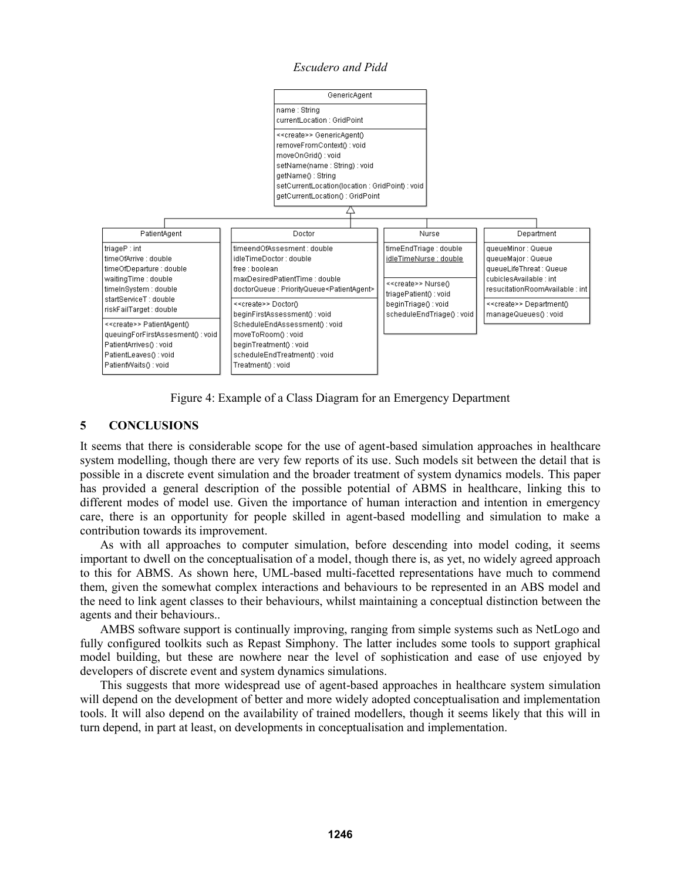

Figure 4: Example of a Class Diagram for an Emergency Department

## **5 CONCLUSIONS**

It seems that there is considerable scope for the use of agent-based simulation approaches in healthcare system modelling, though there are very few reports of its use. Such models sit between the detail that is possible in a discrete event simulation and the broader treatment of system dynamics models. This paper has provided a general description of the possible potential of ABMS in healthcare, linking this to different modes of model use. Given the importance of human interaction and intention in emergency care, there is an opportunity for people skilled in agent-based modelling and simulation to make a contribution towards its improvement.

As with all approaches to computer simulation, before descending into model coding, it seems important to dwell on the conceptualisation of a model, though there is, as yet, no widely agreed approach to this for ABMS. As shown here, UML-based multi-facetted representations have much to commend them, given the somewhat complex interactions and behaviours to be represented in an ABS model and the need to link agent classes to their behaviours, whilst maintaining a conceptual distinction between the agents and their behaviours..

AMBS software support is continually improving, ranging from simple systems such as NetLogo and fully configured toolkits such as Repast Simphony. The latter includes some tools to support graphical model building, but these are nowhere near the level of sophistication and ease of use enjoyed by developers of discrete event and system dynamics simulations.

This suggests that more widespread use of agent-based approaches in healthcare system simulation will depend on the development of better and more widely adopted conceptualisation and implementation tools. It will also depend on the availability of trained modellers, though it seems likely that this will in turn depend, in part at least, on developments in conceptualisation and implementation.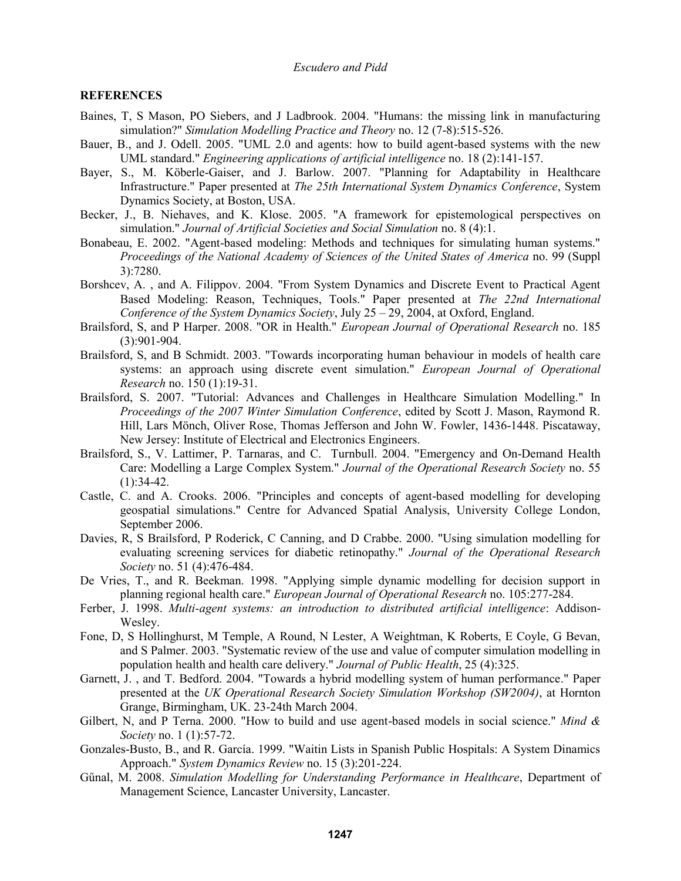#### **REFERENCES**

- Baines, T, S Mason, PO Siebers, and J Ladbrook. 2004. "Humans: the missing link in manufacturing simulation?" *Simulation Modelling Practice and Theory* no. 12 (7-8):515-526.
- Bauer, B., and J. Odell. 2005. "UML 2.0 and agents: how to build agent-based systems with the new UML standard." *Engineering applications of artificial intelligence* no. 18 (2):141-157.
- Bayer, S., M. Köberle-Gaiser, and J. Barlow. 2007. "Planning for Adaptability in Healthcare Infrastructure." Paper presented at *The 25th International System Dynamics Conference*, System Dynamics Society, at Boston, USA.
- Becker, J., B. Niehaves, and K. Klose. 2005. "A framework for epistemological perspectives on simulation." *Journal of Artificial Societies and Social Simulation* no. 8 (4):1.
- Bonabeau, E. 2002. "Agent-based modeling: Methods and techniques for simulating human systems." *Proceedings of the National Academy of Sciences of the United States of America* no. 99 (Suppl 3):7280.
- Borshcev, A. , and A. Filippov. 2004. "From System Dynamics and Discrete Event to Practical Agent Based Modeling: Reason, Techniques, Tools." Paper presented at *The 22nd International Conference of the System Dynamics Society*, July 25 – 29, 2004, at Oxford, England.
- Brailsford, S, and P Harper. 2008. "OR in Health." *European Journal of Operational Research* no. 185 (3):901-904.
- Brailsford, S, and B Schmidt. 2003. "Towards incorporating human behaviour in models of health care systems: an approach using discrete event simulation." *European Journal of Operational Research* no. 150 (1):19-31.
- Brailsford, S. 2007. "Tutorial: Advances and Challenges in Healthcare Simulation Modelling." In *Proceedings of the 2007 Winter Simulation Conference*, edited by Scott J. Mason, Raymond R. Hill, Lars Mönch, Oliver Rose, Thomas Jefferson and John W. Fowler, 1436-1448. Piscataway, New Jersey: Institute of Electrical and Electronics Engineers.
- Brailsford, S., V. Lattimer, P. Tarnaras, and C. Turnbull. 2004. "Emergency and On-Demand Health Care: Modelling a Large Complex System." *Journal of the Operational Research Society* no. 55  $(1):34-42.$
- Castle, C. and A. Crooks. 2006. "Principles and concepts of agent-based modelling for developing geospatial simulations." Centre for Advanced Spatial Analysis, University College London, September 2006.
- Davies, R, S Brailsford, P Roderick, C Canning, and D Crabbe. 2000. "Using simulation modelling for evaluating screening services for diabetic retinopathy." *Journal of the Operational Research Society* no. 51 (4):476-484.
- De Vries, T., and R. Beekman. 1998. "Applying simple dynamic modelling for decision support in planning regional health care." *European Journal of Operational Research* no. 105:277-284.
- Ferber, J. 1998. *Multi-agent systems: an introduction to distributed artificial intelligence*: Addison-Wesley.
- Fone, D, S Hollinghurst, M Temple, A Round, N Lester, A Weightman, K Roberts, E Coyle, G Bevan, and S Palmer. 2003. "Systematic review of the use and value of computer simulation modelling in population health and health care delivery." *Journal of Public Health*, 25 (4):325.
- Garnett, J. , and T. Bedford. 2004. "Towards a hybrid modelling system of human performance." Paper presented at the *UK Operational Research Society Simulation Workshop (SW2004)*, at Hornton Grange, Birmingham, UK. 23-24th March 2004.
- Gilbert, N, and P Terna. 2000. "How to build and use agent-based models in social science." *Mind & Society* no. 1 (1):57-72.
- Gonzales-Busto, B., and R. García. 1999. "Waitin Lists in Spanish Public Hospitals: A System Dinamics Approach." *System Dynamics Review* no. 15 (3):201-224.
- Gűnal, M. 2008. *Simulation Modelling for Understanding Performance in Healthcare*, Department of Management Science, Lancaster University, Lancaster.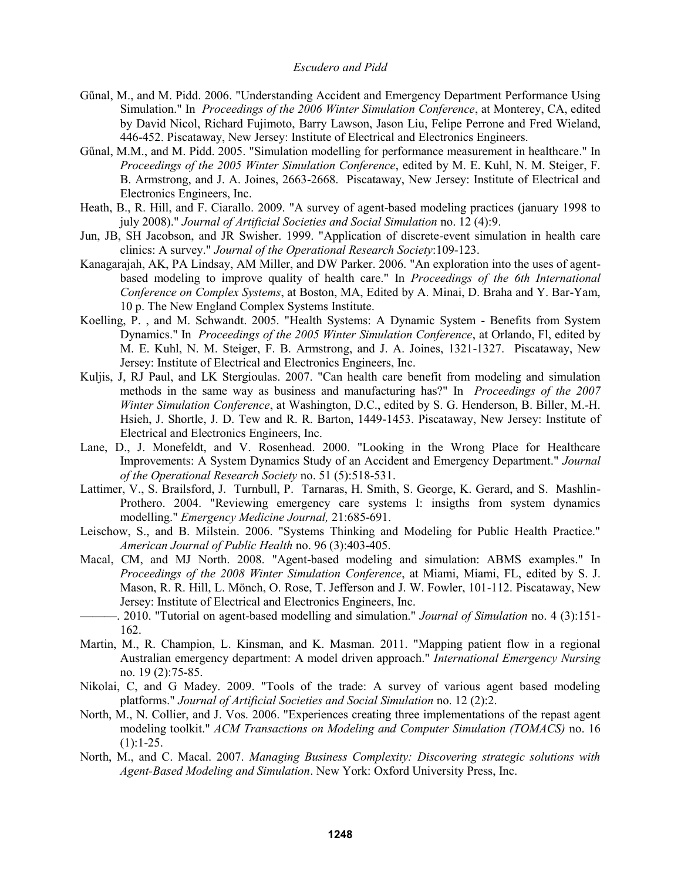- Gűnal, M., and M. Pidd. 2006. "Understanding Accident and Emergency Department Performance Using Simulation." In *Proceedings of the 2006 Winter Simulation Conference*, at Monterey, CA, edited by David Nicol, Richard Fujimoto, Barry Lawson, Jason Liu, Felipe Perrone and Fred Wieland, 446-452. Piscataway, New Jersey: Institute of Electrical and Electronics Engineers.
- Gűnal, M.M., and M. Pidd. 2005. "Simulation modelling for performance measurement in healthcare." In *Proceedings of the 2005 Winter Simulation Conference*, edited by M. E. Kuhl, N. M. Steiger, F. B. Armstrong, and J. A. Joines, 2663-2668. Piscataway, New Jersey: Institute of Electrical and Electronics Engineers, Inc.
- Heath, B., R. Hill, and F. Ciarallo. 2009. "A survey of agent-based modeling practices (january 1998 to july 2008)." *Journal of Artificial Societies and Social Simulation* no. 12 (4):9.
- Jun, JB, SH Jacobson, and JR Swisher. 1999. "Application of discrete-event simulation in health care clinics: A survey." *Journal of the Operational Research Society*:109-123.
- Kanagarajah, AK, PA Lindsay, AM Miller, and DW Parker. 2006. "An exploration into the uses of agentbased modeling to improve quality of health care." In *Proceedings of the 6th International Conference on Complex Systems*, at Boston, MA, Edited by A. Minai, D. Braha and Y. Bar-Yam, 10 p. The New England Complex Systems Institute.
- Koelling, P. , and M. Schwandt. 2005. "Health Systems: A Dynamic System Benefits from System Dynamics." In *Proceedings of the 2005 Winter Simulation Conference*, at Orlando, Fl, edited by M. E. Kuhl, N. M. Steiger, F. B. Armstrong, and J. A. Joines, 1321-1327. Piscataway, New Jersey: Institute of Electrical and Electronics Engineers, Inc.
- Kuljis, J, RJ Paul, and LK Stergioulas. 2007. "Can health care benefit from modeling and simulation methods in the same way as business and manufacturing has?" In *Proceedings of the 2007 Winter Simulation Conference*, at Washington, D.C., edited by S. G. Henderson, B. Biller, M.-H. Hsieh, J. Shortle, J. D. Tew and R. R. Barton, 1449-1453. Piscataway, New Jersey: Institute of Electrical and Electronics Engineers, Inc.
- Lane, D., J. Monefeldt, and V. Rosenhead. 2000. "Looking in the Wrong Place for Healthcare Improvements: A System Dynamics Study of an Accident and Emergency Department." *Journal of the Operational Research Society* no. 51 (5):518-531.
- Lattimer, V., S. Brailsford, J. Turnbull, P. Tarnaras, H. Smith, S. George, K. Gerard, and S. Mashlin-Prothero. 2004. "Reviewing emergency care systems I: insigths from system dynamics modelling." *Emergency Medicine Journal,* 21:685-691.
- Leischow, S., and B. Milstein. 2006. "Systems Thinking and Modeling for Public Health Practice." *American Journal of Public Health* no. 96 (3):403-405.
- Macal, CM, and MJ North. 2008. "Agent-based modeling and simulation: ABMS examples." In *Proceedings of the 2008 Winter Simulation Conference*, at Miami, Miami, FL, edited by S. J. Mason, R. R. Hill, L. Mönch, O. Rose, T. Jefferson and J. W. Fowler, 101-112. Piscataway, New Jersey: Institute of Electrical and Electronics Engineers, Inc.
- ———. 2010. "Tutorial on agent-based modelling and simulation." *Journal of Simulation* no. 4 (3):151- 162.
- Martin, M., R. Champion, L. Kinsman, and K. Masman. 2011. "Mapping patient flow in a regional Australian emergency department: A model driven approach." *International Emergency Nursing* no. 19 (2):75-85.
- Nikolai, C, and G Madey. 2009. "Tools of the trade: A survey of various agent based modeling platforms." *Journal of Artificial Societies and Social Simulation* no. 12 (2):2.
- North, M., N. Collier, and J. Vos. 2006. "Experiences creating three implementations of the repast agent modeling toolkit." *ACM Transactions on Modeling and Computer Simulation (TOMACS)* no. 16  $(1):1-25.$
- North, M., and C. Macal. 2007. *Managing Business Complexity: Discovering strategic solutions with Agent-Based Modeling and Simulation*. New York: Oxford University Press, Inc.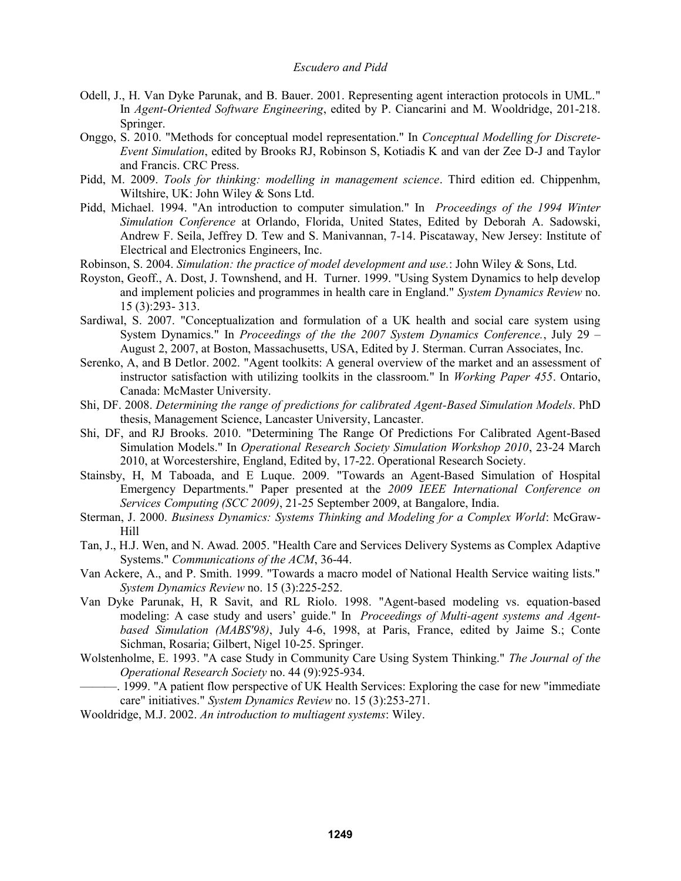- Odell, J., H. Van Dyke Parunak, and B. Bauer. 2001. Representing agent interaction protocols in UML." In *Agent-Oriented Software Engineering*, edited by P. Ciancarini and M. Wooldridge, 201-218. Springer.
- Onggo, S. 2010. "Methods for conceptual model representation." In *Conceptual Modelling for Discrete-Event Simulation*, edited by Brooks RJ, Robinson S, Kotiadis K and van der Zee D-J and Taylor and Francis. CRC Press.
- Pidd, M. 2009. *Tools for thinking: modelling in management science*. Third edition ed. Chippenhm, Wiltshire, UK: John Wiley & Sons Ltd.
- Pidd, Michael. 1994. "An introduction to computer simulation." In *Proceedings of the 1994 Winter Simulation Conference* at Orlando, Florida, United States, Edited by Deborah A. Sadowski, Andrew F. Seila, Jeffrey D. Tew and S. Manivannan, 7-14. Piscataway, New Jersey: Institute of Electrical and Electronics Engineers, Inc.
- Robinson, S. 2004. *Simulation: the practice of model development and use.*: John Wiley & Sons, Ltd.
- Royston, Geoff., A. Dost, J. Townshend, and H. Turner. 1999. "Using System Dynamics to help develop and implement policies and programmes in health care in England." *System Dynamics Review* no. 15 (3):293- 313.
- Sardiwal, S. 2007. "Conceptualization and formulation of a UK health and social care system using System Dynamics." In *Proceedings of the the 2007 System Dynamics Conference.*, July 29 – August 2, 2007, at Boston, Massachusetts, USA, Edited by J. Sterman. Curran Associates, Inc.
- Serenko, A, and B Detlor. 2002. "Agent toolkits: A general overview of the market and an assessment of instructor satisfaction with utilizing toolkits in the classroom." In *Working Paper 455*. Ontario, Canada: McMaster University.
- Shi, DF. 2008. *Determining the range of predictions for calibrated Agent-Based Simulation Models*. PhD thesis, Management Science, Lancaster University, Lancaster.
- Shi, DF, and RJ Brooks. 2010. "Determining The Range Of Predictions For Calibrated Agent-Based Simulation Models." In *Operational Research Society Simulation Workshop 2010*, 23-24 March 2010, at Worcestershire, England, Edited by, 17-22. Operational Research Society.
- Stainsby, H, M Taboada, and E Luque. 2009. "Towards an Agent-Based Simulation of Hospital Emergency Departments." Paper presented at the *2009 IEEE International Conference on Services Computing (SCC 2009)*, 21-25 September 2009, at Bangalore, India.
- Sterman, J. 2000. *Business Dynamics: Systems Thinking and Modeling for a Complex World*: McGraw-Hill
- Tan, J., H.J. Wen, and N. Awad. 2005. "Health Care and Services Delivery Systems as Complex Adaptive Systems." *Communications of the ACM*, 36-44.
- Van Ackere, A., and P. Smith. 1999. "Towards a macro model of National Health Service waiting lists." *System Dynamics Review* no. 15 (3):225-252.
- Van Dyke Parunak, H, R Savit, and RL Riolo. 1998. "Agent-based modeling vs. equation-based modeling: A case study and users' guide." In *Proceedings of Multi-agent systems and Agentbased Simulation (MABS'98)*, July 4-6, 1998, at Paris, France, edited by Jaime S.; Conte Sichman, Rosaria; Gilbert, Nigel 10-25. Springer.
- Wolstenholme, E. 1993. "A case Study in Community Care Using System Thinking." *The Journal of the Operational Research Society* no. 44 (9):925-934.

———. 1999. "A patient flow perspective of UK Health Services: Exploring the case for new "immediate care" initiatives." *System Dynamics Review* no. 15 (3):253-271.

Wooldridge, M.J. 2002. *An introduction to multiagent systems*: Wiley.